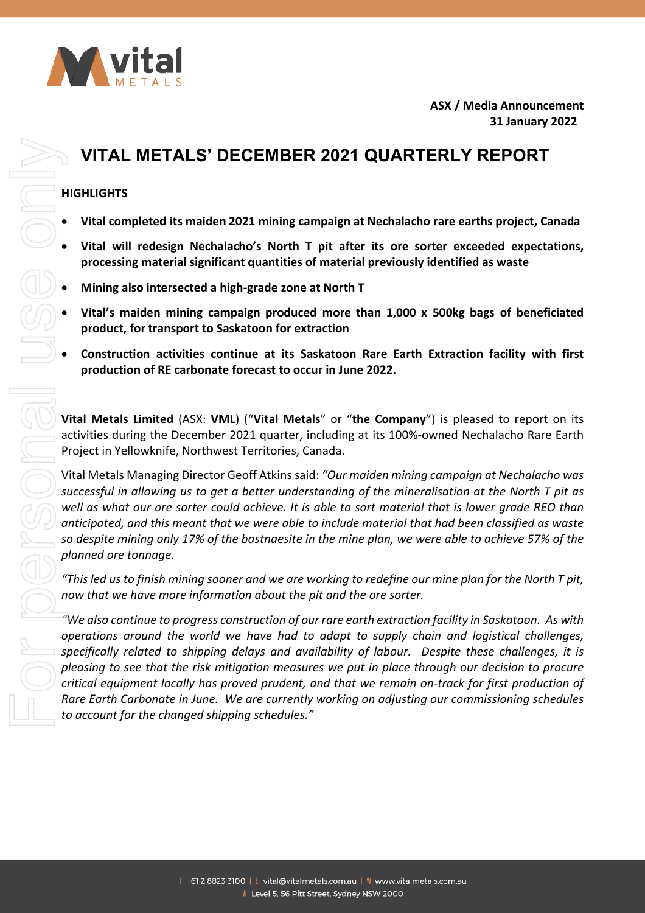

# **VITAL METALS' DECEMBER 2021 QUARTERLY REPORT**

### **HIGHLIGHTS**

- **Vital completed its maiden 2021 mining campaign at Nechalacho rare earths project, Canada**
- **Vital will redesign Nechalacho's North T pit after its ore sorter exceeded expectations, processing material significant quantities of material previously identified as waste**
- **Mining also intersected a high-grade zone at North T**
- **Vital's maiden mining campaign produced more than 1,000 x 500kg bags of beneficiated product, for transport to Saskatoon for extraction**
- **Construction activities continue at its Saskatoon Rare Earth Extraction facility with first production of RE carbonate forecast to occur in June 2022.**

**Vital Metals Limited** (ASX: **VML**) ("**Vital Metals**" or "**the Company**") is pleased to report on its activities during the December 2021 quarter, including at its 100%-owned Nechalacho Rare Earth Project in Yellowknife, Northwest Territories, Canada.

Vital Metals Managing Director Geoff Atkins said: *"Our maiden mining campaign at Nechalacho was successful in allowing us to get a better understanding of the mineralisation at the North T pit as well as what our ore sorter could achieve. It is able to sort material that is lower grade REO than anticipated, and this meant that we were able to include material that had been classified as waste so despite mining only 17% of the bastnaesite in the mine plan, we were able to achieve 57% of the planned ore tonnage.* 

*"This led us to finish mining sooner and we are working to redefine our mine plan for the North T pit, now that we have more information about the pit and the ore sorter.* 

*"We also continue to progress construction of our rare earth extraction facility in Saskatoon. As with operations around the world we have had to adapt to supply chain and logistical challenges, specifically related to shipping delays and availability of labour. Despite these challenges, it is pleasing to see that the risk mitigation measures we put in place through our decision to procure critical equipment locally has proved prudent, and that we remain on-track for first production of* **Parthughlants TALES' DECEMBER 2021 QUARTERLY REPORT<br>
HIGHLIGHTS<br>
• Vital completed its malden 2021 mining campaign at Nechalacho rare earths project, Canada<br>
• Vital will redesign Nechalacho's North T pit after its ore so**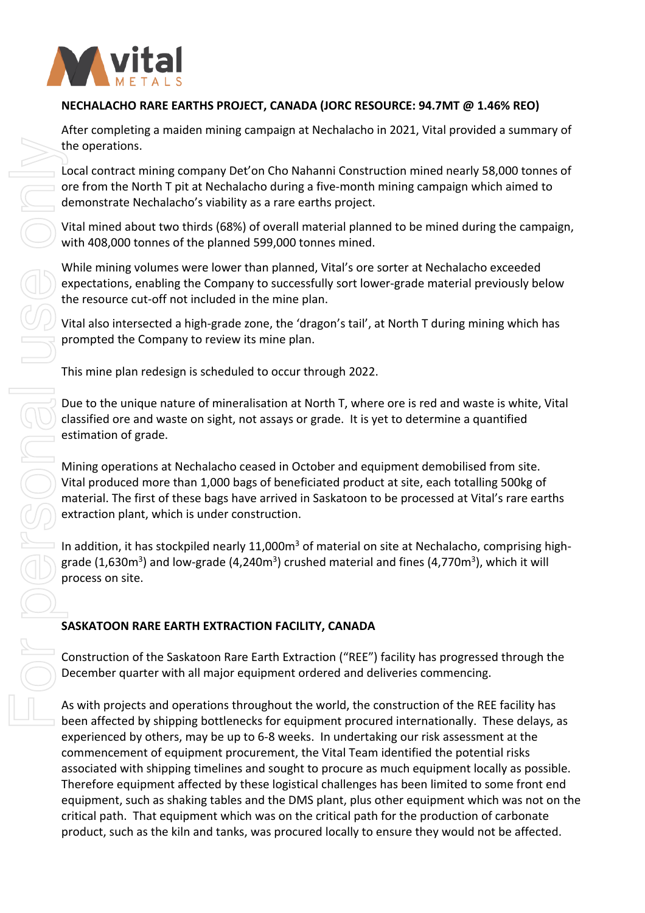

## **NECHALACHO RARE EARTHS PROJECT, CANADA (JORC RESOURCE: 94.7MT @ 1.46% REO)**

After completing a maiden mining campaign at Nechalacho in 2021, Vital provided a summary of the operations.

Local contract mining company Det'on Cho Nahanni Construction mined nearly 58,000 tonnes of ore from the North T pit at Nechalacho during a five-month mining campaign which aimed to demonstrate Nechalacho's viability as a rare earths project.

Vital mined about two thirds (68%) of overall material planned to be mined during the campaign, with 408,000 tonnes of the planned 599,000 tonnes mined.

While mining volumes were lower than planned, Vital's ore sorter at Nechalacho exceeded expectations, enabling the Company to successfully sort lower-grade material previously below the resource cut-off not included in the mine plan.

Vital also intersected a high-grade zone, the 'dragon's tail', at North T during mining which has prompted the Company to review its mine plan.

This mine plan redesign is scheduled to occur through 2022.

Due to the unique nature of mineralisation at North T, where ore is red and waste is white, Vital classified ore and waste on sight, not assays or grade. It is yet to determine a quantified estimation of grade.

Mining operations at Nechalacho ceased in October and equipment demobilised from site. Vital produced more than 1,000 bags of beneficiated product at site, each totalling 500kg of material. The first of these bags have arrived in Saskatoon to be processed at Vital's rare earths extraction plant, which is under construction.

In addition, it has stockpiled nearly 11,000m<sup>3</sup> of material on site at Nechalacho, comprising highgrade (1,630m<sup>3</sup>) and low-grade (4,240m<sup>3</sup>) crushed material and fines (4,770m<sup>3</sup>), which it will process on site.

# **SASKATOON RARE EARTH EXTRACTION FACILITY, CANADA**

Construction of the Saskatoon Rare Earth Extraction ("REE") facility has progressed through the December quarter with all major equipment ordered and deliveries commencing.

As with projects and operations throughout the world, the construction of the REE facility has been affected by shipping bottlenecks for equipment procured internationally. These delays, as experienced by others, may be up to 6-8 weeks. In undertaking our risk assessment at the commencement of equipment procurement, the Vital Team identified the potential risks associated with shipping timelines and sought to procure as much equipment locally as possible. Therefore equipment affected by these logistical challenges has been limited to some front end equipment, such as shaking tables and the DMS plant, plus other equipment which was not on the critical path. That equipment which was on the critical path for the production of carbonate the operations and the kilosoft and tanks (and the minimal of the state of the state of the form of the state of the state of the state of the state of the state of the state of the state of the state of the binded about t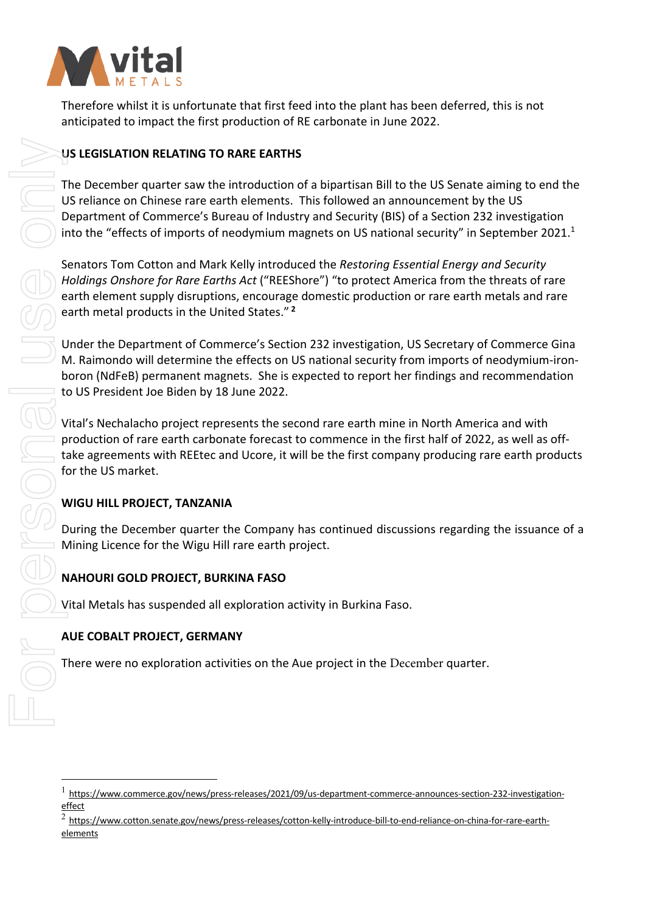

Therefore whilst it is unfortunate that first feed into the plant has been deferred, this is not anticipated to impact the first production of RE carbonate in June 2022.

## **US LEGISLATION RELATING TO RARE EARTHS**

The December quarter saw the introduction of a bipartisan Bill to the US Senate aiming to end the US reliance on Chinese rare earth elements. This followed an announcement by the US Department of Commerce's Bureau of Industry and Security (BIS) of a Section 232 investigation into the "effects of imports of neodymium magnets on US national security" in September 2021.<sup>1</sup>

Senators Tom Cotton and Mark Kelly introduced the *Restoring Essential Energy and Security Holdings Onshore for Rare Earths Act* ("REEShore") "to protect America from the threats of rare earth element supply disruptions, encourage domestic production or rare earth metals and rare earth metal products in the United States." **<sup>2</sup>**

Under the Department of Commerce's Section 232 investigation, US Secretary of Commerce Gina M. Raimondo will determine the effects on US national security from imports of neodymium-ironboron (NdFeB) permanent magnets. She is expected to report her findings and recommendation to US President Joe Biden by 18 June 2022.

Vital's Nechalacho project represents the second rare earth mine in North America and with production of rare earth carbonate forecast to commence in the first half of 2022, as well as offtake agreements with REEtec and Ucore, it will be the first company producing rare earth products for the US market.

## **WIGU HILL PROJECT, TANZANIA**

During the December quarter the Company has continued discussions regarding the issuance of a Mining Licence for the Wigu Hill rare earth project.

## **NAHOURI GOLD PROJECT, BURKINA FASO**

Vital Metals has suspended all exploration activity in Burkina Faso.

#### **AUE COBALT PROJECT, GERMANY**

There were no exploration activities on the Aue project in the December quarter.

<sup>&</sup>lt;sup>1</sup> https://www.commerce.gov/news/press-releases/2021/09/us-department-commerce-announces-section-232-investigationeffect

<sup>2</sup> https://www.cotton.senate.gov/news/press-releases/cotton-kelly-introduce-bill-to-end-reliance-on-china-for-rare-earthelements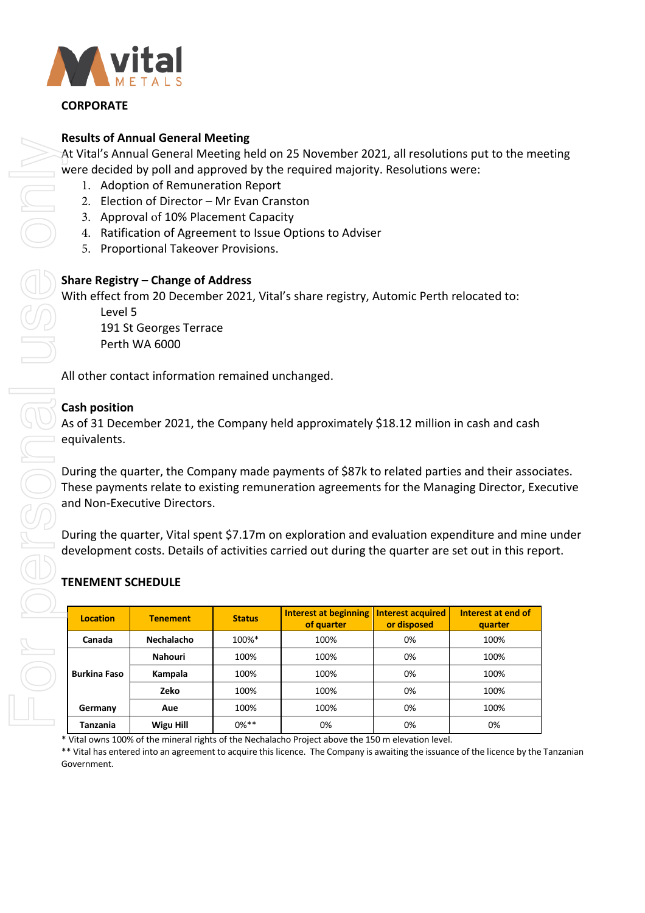

#### **CORPORATE**

### **Results of Annual General Meeting**

At Vital's Annual General Meeting held on 25 November 2021, all resolutions put to the meeting were decided by poll and approved by the required majority. Resolutions were:

- 1. Adoption of Remuneration Report
- 2. Election of Director Mr Evan Cranston
- 3. Approval of 10% Placement Capacity
- 4. Ratification of Agreement to Issue Options to Adviser
- 5. Proportional Takeover Provisions.

## **Share Registry – Change of Address**

With effect from 20 December 2021, Vital's share registry, Automic Perth relocated to:

Level 5 191 St Georges Terrace Perth WA 6000

All other contact information remained unchanged.

#### **Cash position**

As of 31 December 2021, the Company held approximately \$18.12 million in cash and cash equivalents.

## **TENEMENT SCHEDULE**

|                          | and Non-Executive Directors. |               |                                            |                                         | During the quarter, the Company made payments of \$87k to related parties and their associates.<br>These payments relate to existing remuneration agreements for the Managing Director, Executive      |  |
|--------------------------|------------------------------|---------------|--------------------------------------------|-----------------------------------------|--------------------------------------------------------------------------------------------------------------------------------------------------------------------------------------------------------|--|
| <b>TENEMENT SCHEDULE</b> |                              |               |                                            |                                         | During the quarter, Vital spent \$7.17m on exploration and evaluation expenditure and mine unde<br>development costs. Details of activities carried out during the quarter are set out in this report. |  |
|                          |                              |               |                                            |                                         |                                                                                                                                                                                                        |  |
| <b>Location</b>          | <b>Tenement</b>              | <b>Status</b> | <b>Interest at beginning</b><br>of quarter | <b>Interest acquired</b><br>or disposed | Interest at end of<br>quarter                                                                                                                                                                          |  |
| Canada                   | <b>Nechalacho</b>            | 100%*         | 100%                                       | 0%                                      | 100%                                                                                                                                                                                                   |  |
|                          | Nahouri                      | 100%          | 100%                                       | 0%                                      | 100%                                                                                                                                                                                                   |  |
| <b>Burkina Faso</b>      | Kampala                      | 100%          | 100%                                       | 0%                                      | 100%                                                                                                                                                                                                   |  |
|                          | Zeko                         | 100%          | 100%                                       | 0%                                      | 100%                                                                                                                                                                                                   |  |
| Germany                  | Aue                          | 100%          | 100%                                       | 0%                                      | 100%                                                                                                                                                                                                   |  |

\* Vital owns 100% of the mineral rights of the Nechalacho Project above the 150 m elevation level.

\*\* Vital has entered into an agreement to acquire this licence. The Company is awaiting the issuance of the licence by the Tanzanian Government.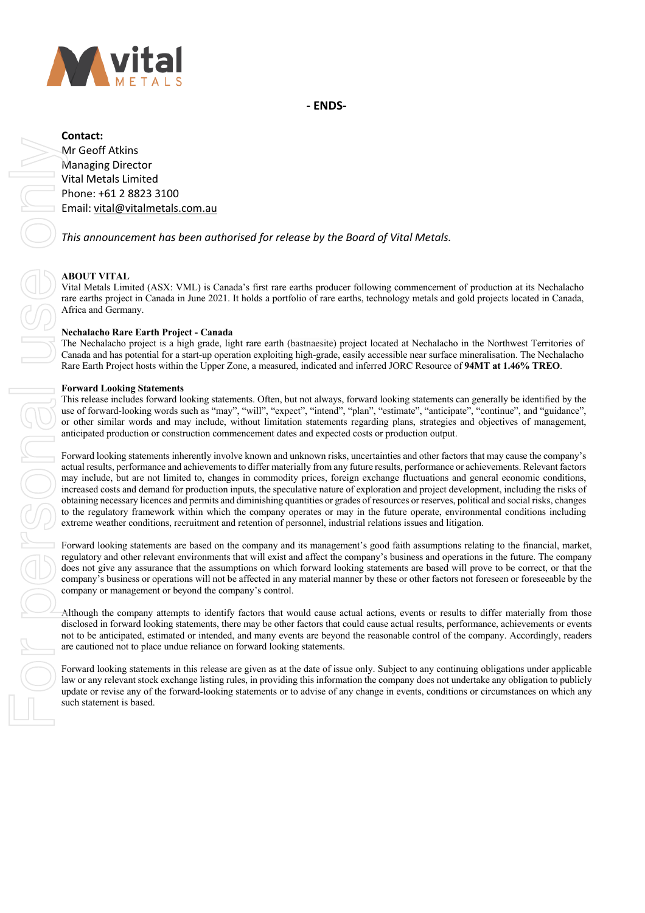

**- ENDS-**

**Contact:** Mr Geoff Atkins Managing Director Vital Metals Limited Phone: +61 2 8823 3100

*This announcement has been authorised for release by the Board of Vital Metals.*

#### **ABOUT VITAL**

Vital Metals Limited (ASX: VML) is Canada's first rare earths producer following commencement of production at its Nechalacho rare earths project in Canada in June 2021. It holds a portfolio of rare earths, technology metals and gold projects located in Canada, Africa and Germany.

#### **Nechalacho Rare Earth Project - Canada**

The Nechalacho project is a high grade, light rare earth (bastnaesite) project located at Nechalacho in the Northwest Territories of Canada and has potential for a start-up operation exploiting high-grade, easily accessible near surface mineralisation. The Nechalacho Rare Earth Project hosts within the Upper Zone, a measured, indicated and inferred JORC Resource of **94MT at 1.46% TREO**.

#### **Forward Looking Statements**

This release includes forward looking statements. Often, but not always, forward looking statements can generally be identified by the use of forward-looking words such as "may", "will", "expect", "intend", "plan", "estimate", "anticipate", "continue", and "guidance", or other similar words and may include, without limitation statements regarding plans, strategies and objectives of management, anticipated production or construction commencement dates and expected costs or production output.

Forward looking statements inherently involve known and unknown risks, uncertainties and other factors that may cause the company's actual results, performance and achievements to differ materially from any future results, performance or achievements. Relevant factors may include, but are not limited to, changes in commodity prices, foreign exchange fluctuations and general economic conditions, increased costs and demand for production inputs, the speculative nature of exploration and project development, including the risks of obtaining necessary licences and permits and diminishing quantities or grades of resources or reserves, political and social risks, changes to the regulatory framework within which the company operates or may in the future operate, environmental conditions including extreme weather conditions, recruitment and retention of personnel, industrial relations issues and litigation.

Forward looking statements are based on the company and its management's good faith assumptions relating to the financial, market, regulatory and other relevant environments that will exist and affect the company's business and operations in the future. The company does not give any assurance that the assumptions on which forward looking statements are based will prove to be correct, or that the company's business or operations will not be affected in any material manner by these or other factors not foreseen or foreseeable by the company or management or beyond the company's control.

Although the company attempts to identify factors that would cause actual actions, events or results to differ materially from those disclosed in forward looking statements, there may be other factors that could cause actual results, performance, achievements or events not to be anticipated, estimated or intended, and many events are beyond the reasonable control of the company. Accordingly, readers are cautioned not to place undue reliance on forward looking statements.

Forward looking statements in this release are given as at the date of issue only. Subject to any continuing obligations under applicable law or any relevant stock exchange listing rules, in providing this information the company does not undertake any obligation to publicly update or revise any of the forward-looking statements or to advise of any change in events, conditions or circumstances on which any such statement is based.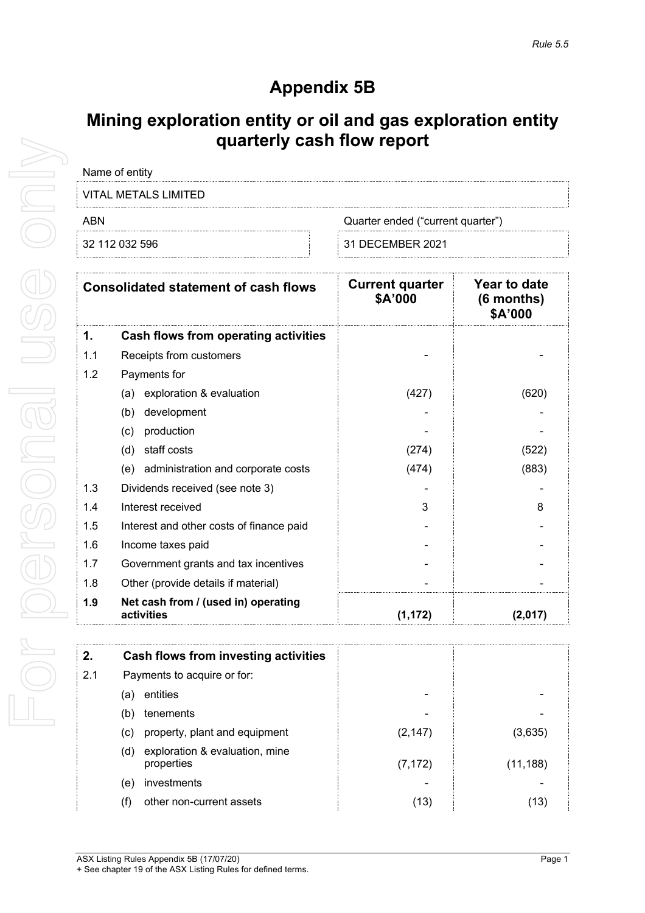# **Appendix 5B**

# **Mining exploration entity or oil and gas exploration entity quarterly cash flow report**

| Name of entity                           |                  |  |  |
|------------------------------------------|------------------|--|--|
| VITAL METALS LIMITED                     |                  |  |  |
| Quarter ended ("current quarter")<br>ARN |                  |  |  |
| 32 112 032 596                           | 31 DECEMBER 2021 |  |  |

|     | <b>Consolidated statement of cash flows</b>       | <b>Current quarter</b><br>\$A'000 | Year to date<br>$(6$ months)<br>\$A'000 |  |
|-----|---------------------------------------------------|-----------------------------------|-----------------------------------------|--|
| 1.  | <b>Cash flows from operating activities</b>       |                                   |                                         |  |
| 1.1 | Receipts from customers                           |                                   |                                         |  |
| 1.2 | Payments for                                      |                                   |                                         |  |
|     | (a) exploration & evaluation                      | (427)                             | (620)                                   |  |
|     | development<br>(b)                                |                                   |                                         |  |
|     | production<br>(c)                                 |                                   |                                         |  |
|     | staff costs<br>(d)                                | (274)                             | (522)                                   |  |
|     | (e) administration and corporate costs            | (474)                             | (883)                                   |  |
| 1.3 | Dividends received (see note 3)                   |                                   |                                         |  |
| 1.4 | Interest received                                 | 3                                 | 8                                       |  |
| 1.5 | Interest and other costs of finance paid          |                                   |                                         |  |
| 1.6 | Income taxes paid                                 |                                   |                                         |  |
| 1.7 | Government grants and tax incentives              |                                   |                                         |  |
| 1.8 | Other (provide details if material)               |                                   |                                         |  |
| 1.9 | Net cash from / (used in) operating<br>activities | (1, 172)                          | (2,017)                                 |  |
|     |                                                   |                                   |                                         |  |
| 2.  | <b>Cash flows from investing activities</b>       |                                   |                                         |  |
| 2.1 | Payments to acquire or for:                       |                                   |                                         |  |
|     | (a) entities                                      |                                   |                                         |  |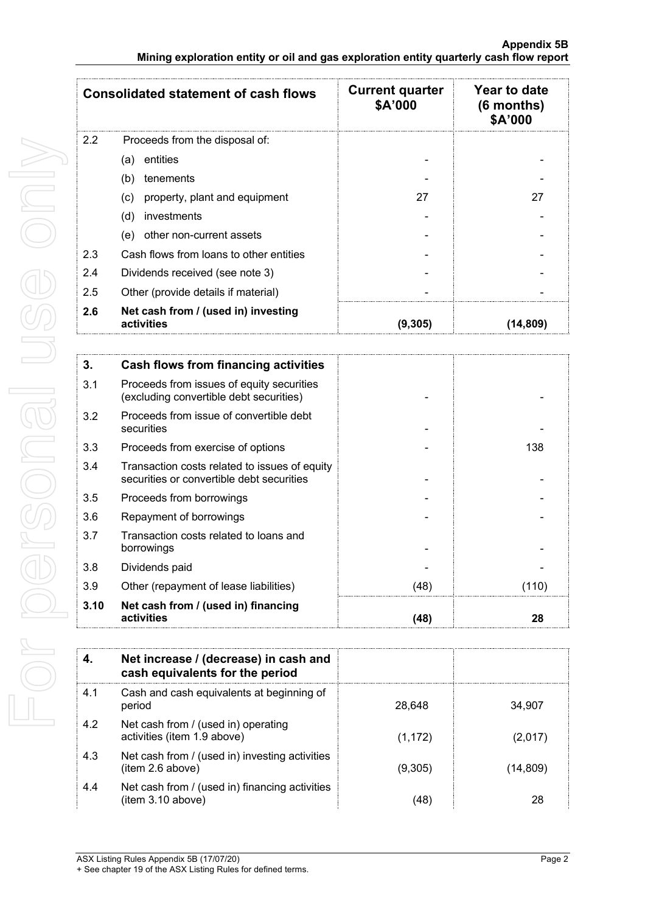|     | <b>Consolidated statement of cash flows</b>       | <b>Current quarter</b><br>\$A'000 | Year to date<br>$(6$ months)<br>\$A'000 |
|-----|---------------------------------------------------|-----------------------------------|-----------------------------------------|
| 2.2 | Proceeds from the disposal of:                    |                                   |                                         |
|     | entities<br>(a)                                   |                                   |                                         |
|     | (b)<br>tenements                                  |                                   |                                         |
|     | property, plant and equipment<br>(c)              | 27                                | 27                                      |
|     | investments<br>(d)                                |                                   |                                         |
|     | other non-current assets<br>(e)                   |                                   |                                         |
| 2.3 | Cash flows from loans to other entities           |                                   |                                         |
| 2.4 | Dividends received (see note 3)                   |                                   |                                         |
| 2.5 | Other (provide details if material)               |                                   |                                         |
| 2.6 | Net cash from / (used in) investing<br>activities | (9,305)                           | (14, 809)                               |
| 3.  | <b>Cash flows from financing activities</b>       |                                   |                                         |

| 3.   | <b>Cash flows from financing activities</b>                                                |      |       |
|------|--------------------------------------------------------------------------------------------|------|-------|
| 3.1  | Proceeds from issues of equity securities<br>(excluding convertible debt securities)       |      |       |
| 3.2  | Proceeds from issue of convertible debt<br>securities                                      |      |       |
| 3.3  | Proceeds from exercise of options                                                          |      | 138   |
| 3.4  | Transaction costs related to issues of equity<br>securities or convertible debt securities |      |       |
| 3.5  | Proceeds from borrowings                                                                   |      |       |
| 3.6  | Repayment of borrowings                                                                    |      |       |
| 3.7  | Transaction costs related to loans and<br>borrowings                                       |      |       |
| 3.8  | Dividends paid                                                                             |      |       |
| 3.9  | Other (repayment of lease liabilities)                                                     | (48) | (110) |
| 3.10 | Net cash from / (used in) financing<br>activities                                          | (48) | 28    |

|     | Net increase / (decrease) in cash and<br>cash equivalents for the period |          |          |
|-----|--------------------------------------------------------------------------|----------|----------|
| 4.1 | Cash and cash equivalents at beginning of<br>period                      | 28.648   | 34.907   |
| 4.2 | Net cash from / (used in) operating<br>activities (item 1.9 above)       | (1, 172) | (2,017)  |
| 4.3 | Net cash from / (used in) investing activities<br>(item 2.6 above)       | (9,305)  | (14,809) |
| 4.4 | Net cash from / (used in) financing activities<br>(item 3.10 above)      | (48)     | 28       |

ASX Listing Rules Appendix 5B (17/07/20) **Page 2** 

<sup>+</sup> See chapter 19 of the ASX Listing Rules for defined terms.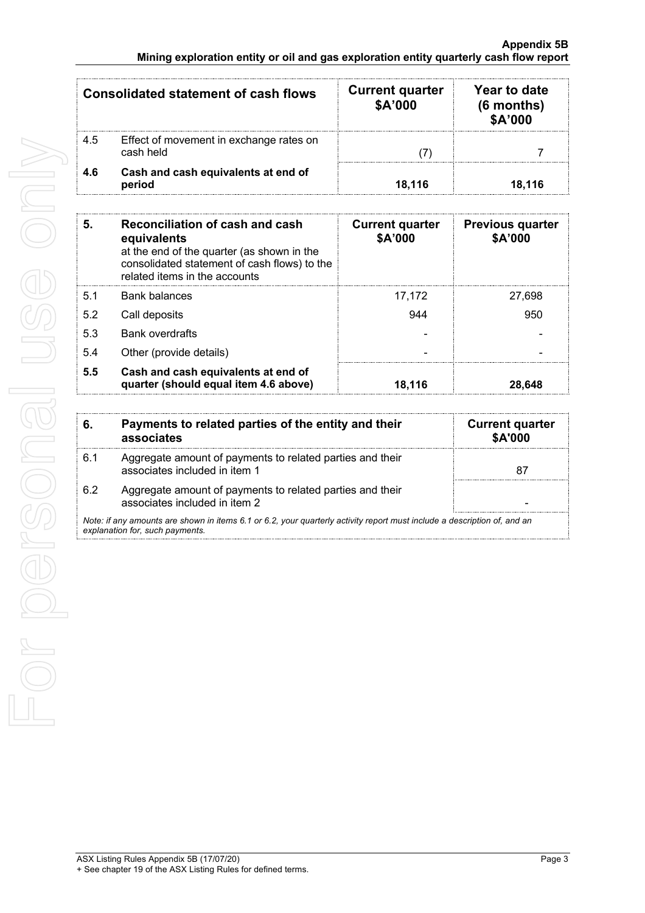| <b>Consolidated statement of cash flows</b> |                                                      | <b>Current quarter</b><br>\$A'000 | Year to date<br>$(6$ months)<br>\$A'000 |
|---------------------------------------------|------------------------------------------------------|-----------------------------------|-----------------------------------------|
| 4.5                                         | Effect of movement in exchange rates on<br>cash held |                                   |                                         |
| 4.6                                         | Cash and cash equivalents at end of<br>period        | 18.116                            | 18.116                                  |

| 5.  | Reconciliation of cash and cash<br>equivalents<br>at the end of the quarter (as shown in the<br>consolidated statement of cash flows) to the<br>related items in the accounts | <b>Current quarter</b><br>\$A'000 | <b>Previous quarter</b><br>\$A'000 |
|-----|-------------------------------------------------------------------------------------------------------------------------------------------------------------------------------|-----------------------------------|------------------------------------|
| 5.1 | <b>Bank balances</b>                                                                                                                                                          | 17.172                            | 27.698                             |
| 5.2 | Call deposits                                                                                                                                                                 | 944                               | 950                                |
| 5.3 | <b>Bank overdrafts</b>                                                                                                                                                        |                                   |                                    |
| 5.4 | Other (provide details)                                                                                                                                                       |                                   |                                    |
| 5.5 | Cash and cash equivalents at end of<br>quarter (should equal item 4.6 above)                                                                                                  | 18.116                            | 28.648                             |

| 6.  | Payments to related parties of the entity and their<br>associates                                                                                           | <b>Current quarter</b><br><b>\$A'000</b> |  |
|-----|-------------------------------------------------------------------------------------------------------------------------------------------------------------|------------------------------------------|--|
| 6.1 | Aggregate amount of payments to related parties and their<br>associates included in item 1                                                                  |                                          |  |
| 62  | Aggregate amount of payments to related parties and their<br>associates included in item 2                                                                  |                                          |  |
|     | Note: if any amounts are shown in items 6.1 or 6.2, your quarterly activity report must include a description of, and an<br>explanation for, such payments. |                                          |  |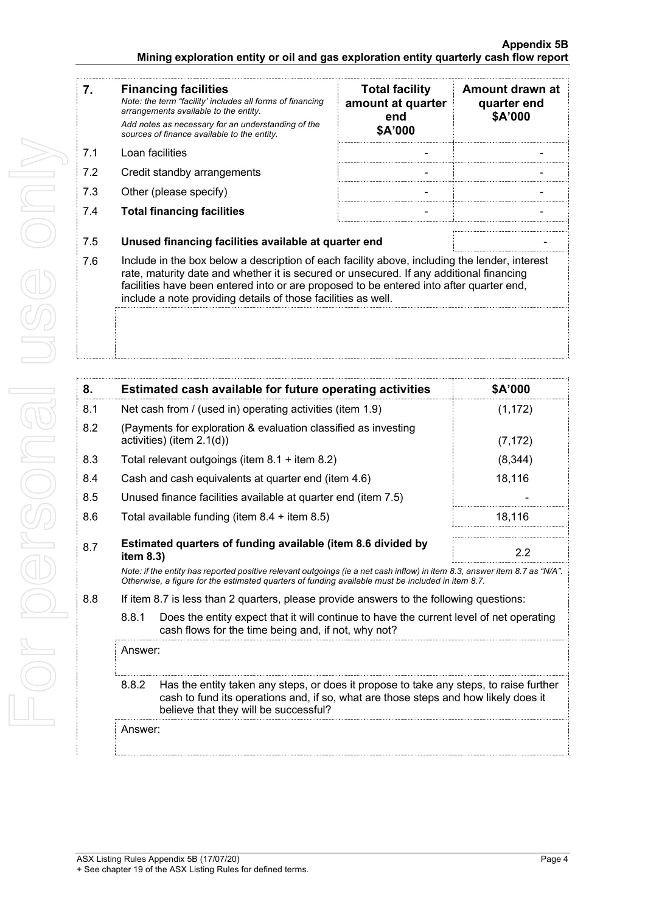**Appendix 5B Mining exploration entity or oil and gas exploration entity quarterly cash flow report**

ł

| 7.                                                                                                                                                                                                                              |                                                                                                                                                         | <b>Financing facilities</b><br>Note: the term "facility' includes all forms of financing<br>arrangements available to the entity.<br>Add notes as necessary for an understanding of the<br>sources of finance available to the entity.                                                                                                               | <b>Total facility</b><br>amount at quarter<br>end<br>\$A'000 | Amount drawn at<br>quarter end<br>\$A'000 |  |
|---------------------------------------------------------------------------------------------------------------------------------------------------------------------------------------------------------------------------------|---------------------------------------------------------------------------------------------------------------------------------------------------------|------------------------------------------------------------------------------------------------------------------------------------------------------------------------------------------------------------------------------------------------------------------------------------------------------------------------------------------------------|--------------------------------------------------------------|-------------------------------------------|--|
| 7.1                                                                                                                                                                                                                             |                                                                                                                                                         | Loan facilities                                                                                                                                                                                                                                                                                                                                      |                                                              |                                           |  |
| 7.2                                                                                                                                                                                                                             |                                                                                                                                                         | Credit standby arrangements                                                                                                                                                                                                                                                                                                                          |                                                              |                                           |  |
| 7.3                                                                                                                                                                                                                             |                                                                                                                                                         | Other (please specify)                                                                                                                                                                                                                                                                                                                               |                                                              |                                           |  |
| 7.4                                                                                                                                                                                                                             |                                                                                                                                                         | <b>Total financing facilities</b>                                                                                                                                                                                                                                                                                                                    |                                                              |                                           |  |
| 7.5                                                                                                                                                                                                                             |                                                                                                                                                         | Unused financing facilities available at quarter end                                                                                                                                                                                                                                                                                                 |                                                              |                                           |  |
| 7.6                                                                                                                                                                                                                             |                                                                                                                                                         | Include in the box below a description of each facility above, including the lender, interest<br>rate, maturity date and whether it is secured or unsecured. If any additional financing<br>facilities have been entered into or are proposed to be entered into after quarter end,<br>include a note providing details of those facilities as well. |                                                              |                                           |  |
|                                                                                                                                                                                                                                 |                                                                                                                                                         |                                                                                                                                                                                                                                                                                                                                                      |                                                              |                                           |  |
|                                                                                                                                                                                                                                 |                                                                                                                                                         |                                                                                                                                                                                                                                                                                                                                                      |                                                              |                                           |  |
| 8.                                                                                                                                                                                                                              |                                                                                                                                                         | Estimated cash available for future operating activities                                                                                                                                                                                                                                                                                             |                                                              | \$A'000                                   |  |
| 8.1                                                                                                                                                                                                                             |                                                                                                                                                         | Net cash from / (used in) operating activities (item 1.9)                                                                                                                                                                                                                                                                                            |                                                              | (1, 172)                                  |  |
| 8.2                                                                                                                                                                                                                             |                                                                                                                                                         | (Payments for exploration & evaluation classified as investing<br>activities) (item 2.1(d))                                                                                                                                                                                                                                                          |                                                              | (7, 172)                                  |  |
| 8.3                                                                                                                                                                                                                             |                                                                                                                                                         | Total relevant outgoings (item 8.1 + item 8.2)                                                                                                                                                                                                                                                                                                       |                                                              | (8, 344)                                  |  |
| 8.4                                                                                                                                                                                                                             |                                                                                                                                                         | Cash and cash equivalents at quarter end (item 4.6)                                                                                                                                                                                                                                                                                                  |                                                              | 18,116                                    |  |
| 8.5                                                                                                                                                                                                                             |                                                                                                                                                         | Unused finance facilities available at quarter end (item 7.5)                                                                                                                                                                                                                                                                                        |                                                              |                                           |  |
| 8.6                                                                                                                                                                                                                             |                                                                                                                                                         | Total available funding (item 8.4 + item 8.5)                                                                                                                                                                                                                                                                                                        |                                                              | 18,116                                    |  |
| 8.7                                                                                                                                                                                                                             |                                                                                                                                                         | Estimated quarters of funding available (item 8.6 divided by<br>2.2<br>item 8.3)                                                                                                                                                                                                                                                                     |                                                              |                                           |  |
|                                                                                                                                                                                                                                 |                                                                                                                                                         | Note: if the entity has reported positive relevant outgoings (ie a net cash inflow) in item 8.3, answer item 8.7 as "N/A".<br>Otherwise, a figure for the estimated quarters of funding available must be included in item 8.7.                                                                                                                      |                                                              |                                           |  |
| 8.8                                                                                                                                                                                                                             | If item 8.7 is less than 2 quarters, please provide answers to the following questions:                                                                 |                                                                                                                                                                                                                                                                                                                                                      |                                                              |                                           |  |
|                                                                                                                                                                                                                                 | 8.8.1<br>Does the entity expect that it will continue to have the current level of net operating<br>cash flows for the time being and, if not, why not? |                                                                                                                                                                                                                                                                                                                                                      |                                                              |                                           |  |
|                                                                                                                                                                                                                                 | Answer:                                                                                                                                                 |                                                                                                                                                                                                                                                                                                                                                      |                                                              |                                           |  |
| Has the entity taken any steps, or does it propose to take any steps, to raise further<br>8.8.2<br>cash to fund its operations and, if so, what are those steps and how likely does it<br>believe that they will be successful? |                                                                                                                                                         |                                                                                                                                                                                                                                                                                                                                                      |                                                              |                                           |  |
|                                                                                                                                                                                                                                 |                                                                                                                                                         |                                                                                                                                                                                                                                                                                                                                                      |                                                              |                                           |  |

 $\overline{\phantom{a}}$ 

ł Answer:

**7. Financing facilities**

. . . . . . . . . . . . . . .

**Contract** 

 $\overline{\phantom{a}}$ 

ł